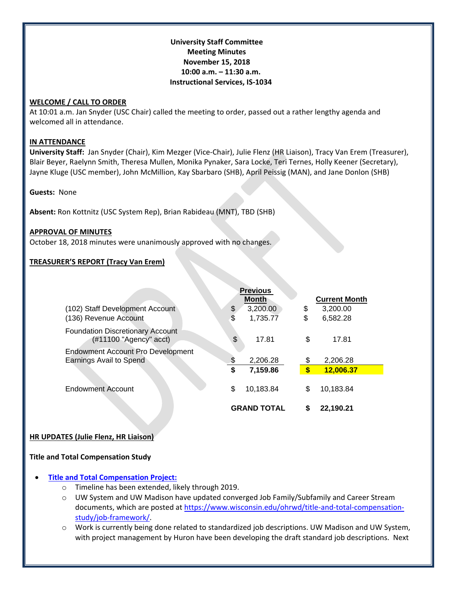## **University Staff Committee Meeting Minutes November 15, 2018 10:00 a.m. – 11:30 a.m. Instructional Services, IS-1034**

## **WELCOME / CALL TO ORDER**

At 10:01 a.m. Jan Snyder (USC Chair) called the meeting to order, passed out a rather lengthy agenda and welcomed all in attendance.

#### **IN ATTENDANCE**

**University Staff:** Jan Snyder (Chair), Kim Mezger (Vice-Chair), Julie Flenz (HR Liaison), Tracy Van Erem (Treasurer), Blair Beyer, Raelynn Smith, Theresa Mullen, Monika Pynaker, Sara Locke, Teri Ternes, Holly Keener (Secretary), Jayne Kluge (USC member), John McMillion, Kay Sbarbaro (SHB), April Peissig (MAN), and Jane Donlon (SHB)

**Guests:** None

**Absent:** Ron Kottnitz (USC System Rep), Brian Rabideau (MNT), TBD (SHB)

## **APPROVAL OF MINUTES**

October 18, 2018 minutes were unanimously approved with no changes.

## **TREASURER'S REPORT (Tracy Van Erem)**

|                                                                             | <b>Previous</b>    |                         |                      |
|-----------------------------------------------------------------------------|--------------------|-------------------------|----------------------|
|                                                                             | <b>Month</b>       |                         | <b>Current Month</b> |
| (102) Staff Development Account                                             | 3,200.00<br>\$     | \$                      | 3,200.00             |
| (136) Revenue Account                                                       | \$<br>1,735.77     | \$                      | 6,582.28             |
| <b>Foundation Discretionary Account</b><br>$(\text{\#11100}$ "Agency" acct) | \$<br>17.81        | \$                      | 17.81                |
| <b>Endowment Account Pro Development</b>                                    |                    |                         |                      |
| Earnings Avail to Spend                                                     | \$<br>2,206.28     | \$                      | 2,206.28             |
|                                                                             | \$<br>7,159.86     | $\overline{\mathbf{s}}$ | 12,006.37            |
| <b>Endowment Account</b>                                                    | \$<br>10,183.84    | \$                      | 10,183.84            |
|                                                                             | <b>GRAND TOTAL</b> | S                       | 22.190.21            |

## **HR UPDATES (Julie Flenz, HR Liaison)**

## **Title and Total Compensation Study**

## **[Title and Total Compensation Project:](https://www.wisconsin.edu/ohrwd/title-and-total-compensation-study/)**

- o Timeline has been extended, likely through 2019.
- $\circ$  UW System and UW Madison have updated converged Job Family/Subfamily and Career Stream documents, which are posted at [https://www.wisconsin.edu/ohrwd/title-and-total-compensation](https://www.wisconsin.edu/ohrwd/title-and-total-compensation-study/job-framework/)[study/job-framework/.](https://www.wisconsin.edu/ohrwd/title-and-total-compensation-study/job-framework/)
- o Work is currently being done related to standardized job descriptions. UW Madison and UW System, with project management by Huron have been developing the draft standard job descriptions. Next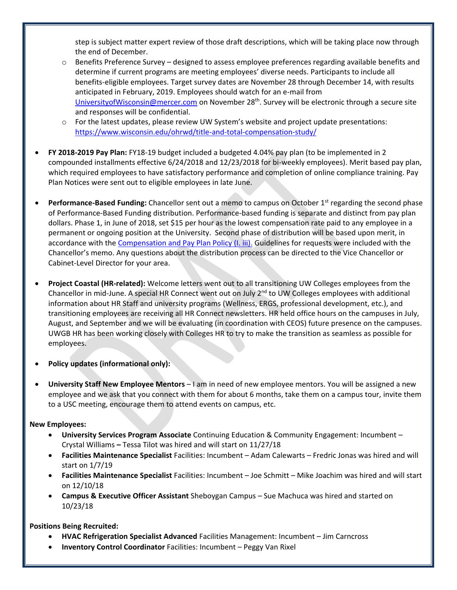step is subject matter expert review of those draft descriptions, which will be taking place now through the end of December.

- $\circ$  Benefits Preference Survey designed to assess employee preferences regarding available benefits and determine if current programs are meeting employees' diverse needs. Participants to include all benefits-eligible employees. Target survey dates are November 28 through December 14, with results anticipated in February, 2019. Employees should watch for an e-mail from [UniversityofWisconsin@mercer.com](mailto:UniversityofWisconsin@mercer.com) on November 28<sup>th</sup>. Survey will be electronic through a secure site and responses will be confidential.
- o For the latest updates, please review UW System's website and project update presentations: <https://www.wisconsin.edu/ohrwd/title-and-total-compensation-study/>
- **FY 2018-2019 Pay Plan:** FY18-19 budget included a budgeted 4.04% pay plan (to be implemented in 2 compounded installments effective 6/24/2018 and 12/23/2018 for bi-weekly employees). Merit based pay plan, which required employees to have satisfactory performance and completion of online compliance training. Pay Plan Notices were sent out to eligible employees in late June.
- **Performance-Based Funding:** Chancellor sent out a memo to campus on October 1<sup>st</sup> regarding the second phase of Performance-Based Funding distribution. Performance-based funding is separate and distinct from pay plan dollars. Phase 1, in June of 2018, set \$15 per hour as the lowest compensation rate paid to any employee in a permanent or ongoing position at the University. Second phase of distribution will be based upon merit, in accordance with the [Compensation and Pay Plan Policy \(I. iii\).](http://www.uwgb.edu/UWGBCMS/media/policies/files/Comp-and-Pay-Plan-Policy-Final.pdf?ext=.pdf) Guidelines for requests were included with the Chancellor's memo. Any questions about the distribution process can be directed to the Vice Chancellor or Cabinet-Level Director for your area.
- **Project Coastal (HR-related):** Welcome letters went out to all transitioning UW Colleges employees from the Chancellor in mid-June. A special HR Connect went out on July  $2^{nd}$  to UW Colleges employees with additional information about HR Staff and university programs (Wellness, ERGS, professional development, etc.), and transitioning employees are receiving all HR Connect newsletters. HR held office hours on the campuses in July, August, and September and we will be evaluating (in coordination with CEOS) future presence on the campuses. UWGB HR has been working closely with Colleges HR to try to make the transition as seamless as possible for employees.
- **Policy updates (informational only):**
- **University Staff New Employee Mentors** I am in need of new employee mentors. You will be assigned a new employee and we ask that you connect with them for about 6 months, take them on a campus tour, invite them to a USC meeting, encourage them to attend events on campus, etc.

## **New Employees:**

- **University Services Program Associate** Continuing Education & Community Engagement: Incumbent Crystal Williams **–** Tessa Tilot was hired and will start on 11/27/18
- **Facilities Maintenance Specialist** Facilities: Incumbent Adam Calewarts Fredric Jonas was hired and will start on 1/7/19
- **Facilities Maintenance Specialist** Facilities: Incumbent Joe Schmitt Mike Joachim was hired and will start on 12/10/18
- **Campus & Executive Officer Assistant** Sheboygan Campus Sue Machuca was hired and started on 10/23/18

## **Positions Being Recruited:**

- **HVAC Refrigeration Specialist Advanced** Facilities Management: Incumbent Jim Carncross
- **Inventory Control Coordinator** Facilities: Incumbent Peggy Van Rixel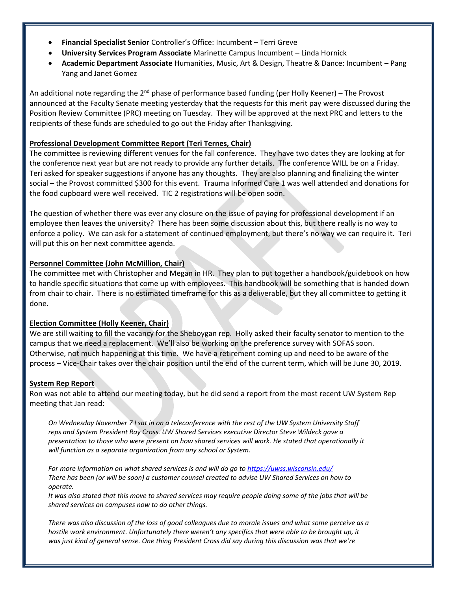- **Financial Specialist Senior** Controller's Office: Incumbent Terri Greve
- **University Services Program Associate** Marinette Campus Incumbent Linda Hornick
- **Academic Department Associate** Humanities, Music, Art & Design, Theatre & Dance: Incumbent Pang Yang and Janet Gomez

An additional note regarding the  $2^{nd}$  phase of performance based funding (per Holly Keener) – The Provost announced at the Faculty Senate meeting yesterday that the requests for this merit pay were discussed during the Position Review Committee (PRC) meeting on Tuesday. They will be approved at the next PRC and letters to the recipients of these funds are scheduled to go out the Friday after Thanksgiving.

## **Professional Development Committee Report (Teri Ternes, Chair)**

The committee is reviewing different venues for the fall conference. They have two dates they are looking at for the conference next year but are not ready to provide any further details. The conference WILL be on a Friday. Teri asked for speaker suggestions if anyone has any thoughts. They are also planning and finalizing the winter social – the Provost committed \$300 for this event. Trauma Informed Care 1 was well attended and donations for the food cupboard were well received. TIC 2 registrations will be open soon.

The question of whether there was ever any closure on the issue of paying for professional development if an employee then leaves the university? There has been some discussion about this, but there really is no way to enforce a policy. We can ask for a statement of continued employment, but there's no way we can require it. Teri will put this on her next committee agenda.

## **Personnel Committee (John McMillion, Chair)**

The committee met with Christopher and Megan in HR. They plan to put together a handbook/guidebook on how to handle specific situations that come up with employees. This handbook will be something that is handed down from chair to chair. There is no estimated timeframe for this as a deliverable, but they all committee to getting it done.

## **Election Committee (Holly Keener, Chair)**

We are still waiting to fill the vacancy for the Sheboygan rep. Holly asked their faculty senator to mention to the campus that we need a replacement. We'll also be working on the preference survey with SOFAS soon. Otherwise, not much happening at this time. We have a retirement coming up and need to be aware of the process – Vice-Chair takes over the chair position until the end of the current term, which will be June 30, 2019.

## **System Rep Report**

Ron was not able to attend our meeting today, but he did send a report from the most recent UW System Rep meeting that Jan read:

*On Wednesday November 7 I sat in on a teleconference with the rest of the UW System University Staff reps and System President Ray Cross. UW Shared Services executive Director Steve Wildeck gave a presentation to those who were present on how shared services will work. He stated that operationally it will function as a separate organization from any school or System.*

*For more information on what shared services is and will do go t[o https://uwss.wisconsin.edu/](https://uwss.wisconsin.edu/) There has been (or will be soon) a customer counsel created to advise UW Shared Services on how to operate.*

*It was also stated that this move to shared services may require people doing some of the jobs that will be shared services on campuses now to do other things.* 

*There was also discussion of the loss of good colleagues due to morale issues and what some perceive as a*  hostile work environment. Unfortunately there weren't any specifics that were able to be brought up, it *was just kind of general sense. One thing President Cross did say during this discussion was that we're*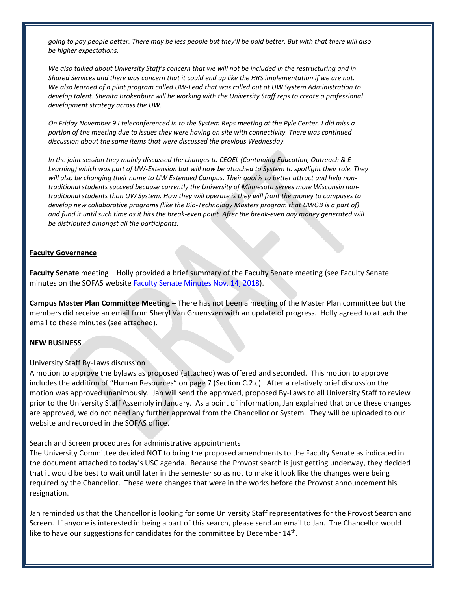*going to pay people better. There may be less people but they'll be paid better. But with that there will also be higher expectations.* 

*We also talked about University Staff's concern that we will not be included in the restructuring and in Shared Services and there was concern that it could end up like the HRS implementation if we are not. We also learned of a pilot program called UW-Lead that was rolled out at UW System Administration to develop talent. Shenita Brokenburr will be working with the University Staff reps to create a professional development strategy across the UW.*

*On Friday November 9 I teleconferenced in to the System Reps meeting at the Pyle Center. I did miss a portion of the meeting due to issues they were having on site with connectivity. There was continued discussion about the same items that were discussed the previous Wednesday.* 

*In the joint session they mainly discussed the changes to CEOEL (Continuing Education, Outreach & E-Learning) which was part of UW-Extension but will now be attached to System to spotlight their role. They will also be changing their name to UW Extended Campus. Their goal is to better attract and help nontraditional students succeed because currently the University of Minnesota serves more Wisconsin nontraditional students than UW System. How they will operate is they will front the money to campuses to develop new collaborative programs (like the Bio-Technology Masters program that UWGB is a part of)* and fund it until such time as it hits the break-even point. After the break-even any money generated will *be distributed amongst all the participants.*

#### **Faculty Governance**

**Faculty Senate** meeting – Holly provided a brief summary of the Faculty Senate meeting (see Faculty Senate minutes on the SOFAS website [Faculty Senate Minutes Nov. 14, 2018\)](http://www.uwgb.edu/sofas/structures/governance/senate/agendas/draft%20minutes%2011-14-18.pdf).

**Campus Master Plan Committee Meeting** – There has not been a meeting of the Master Plan committee but the members did receive an email from Sheryl Van Gruensven with an update of progress. Holly agreed to attach the email to these minutes (see attached).

## **NEW BUSINESS**

#### University Staff By-Laws discussion

A motion to approve the bylaws as proposed (attached) was offered and seconded. This motion to approve includes the addition of "Human Resources" on page 7 (Section C.2.c). After a relatively brief discussion the motion was approved unanimously. Jan will send the approved, proposed By-Laws to all University Staff to review prior to the University Staff Assembly in January. As a point of information, Jan explained that once these changes are approved, we do not need any further approval from the Chancellor or System. They will be uploaded to our website and recorded in the SOFAS office.

#### Search and Screen procedures for administrative appointments

The University Committee decided NOT to bring the proposed amendments to the Faculty Senate as indicated in the document attached to today's USC agenda. Because the Provost search is just getting underway, they decided that it would be best to wait until later in the semester so as not to make it look like the changes were being required by the Chancellor. These were changes that were in the works before the Provost announcement his resignation.

Jan reminded us that the Chancellor is looking for some University Staff representatives for the Provost Search and Screen. If anyone is interested in being a part of this search, please send an email to Jan. The Chancellor would like to have our suggestions for candidates for the committee by December  $14^{\text{th}}$ .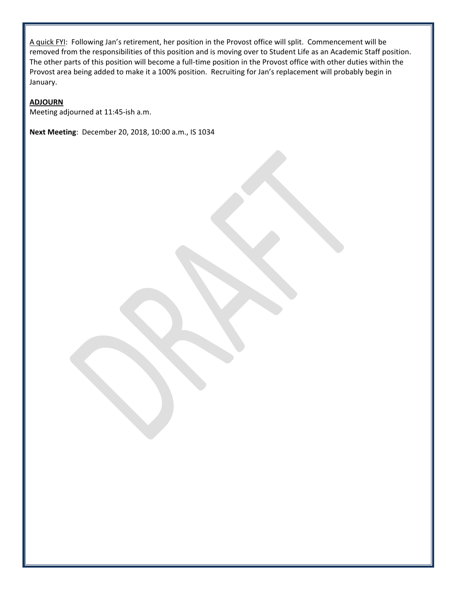A quick FYI: Following Jan's retirement, her position in the Provost office will split. Commencement will be removed from the responsibilities of this position and is moving over to Student Life as an Academic Staff position. The other parts of this position will become a full-time position in the Provost office with other duties within the Provost area being added to make it a 100% position. Recruiting for Jan's replacement will probably begin in January.

## **ADJOURN**

Meeting adjourned at 11:45-ish a.m.

**Next Meeting**: December 20, 2018, 10:00 a.m., IS 1034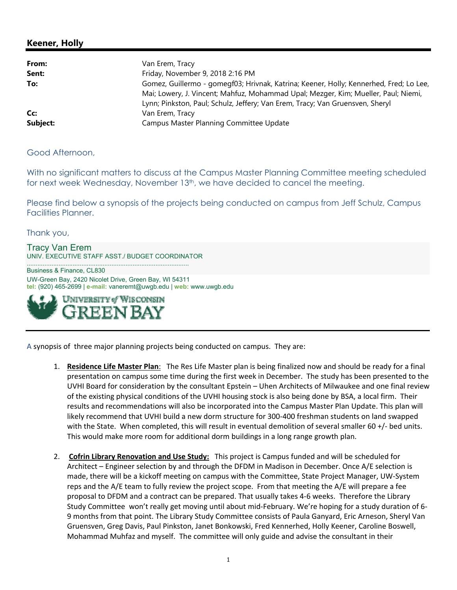# **Keener, Holly**

| From:    | Van Erem, Tracy                                                                                                                                                                                                                                               |
|----------|---------------------------------------------------------------------------------------------------------------------------------------------------------------------------------------------------------------------------------------------------------------|
| Sent:    | Friday, November 9, 2018 2:16 PM                                                                                                                                                                                                                              |
| To:      | Gomez, Guillermo - gomegf03; Hrivnak, Katrina; Keener, Holly; Kennerhed, Fred; Lo Lee,<br>Mai; Lowery, J. Vincent; Mahfuz, Mohammad Upal; Mezger, Kim; Mueller, Paul; Niemi,<br>Lynn; Pinkston, Paul; Schulz, Jeffery; Van Erem, Tracy; Van Gruensven, Sheryl |
| Cc:      | Van Erem, Tracy                                                                                                                                                                                                                                               |
| Subject: | Campus Master Planning Committee Update                                                                                                                                                                                                                       |

Good Afternoon,

With no significant matters to discuss at the Campus Master Planning Committee meeting scheduled for next week Wednesday, November 13<sup>th</sup>, we have decided to cancel the meeting.

Please find below a synopsis of the projects being conducted on campus from Jeff Schulz, Campus Facilities Planner.

Thank you,

Tracy Van Erem UNIV. EXECUTIVE STAFF ASST./ BUDGET COORDINATOR

............................................................................................

Business & Finance, CL830 UW-Green Bay, 2420 Nicolet Drive, Green Bay, WI 54311 **tel:** (920) 465-2699 | **e-mail:** vaneremt@uwgb.edu | **web:** www.uwgb.edu



A synopsis of three major planning projects being conducted on campus. They are:

- 1. **Residence Life Master Plan**: The Res Life Master plan is being finalized now and should be ready for a final presentation on campus some time during the first week in December. The study has been presented to the UVHI Board for consideration by the consultant Epstein – Uhen Architects of Milwaukee and one final review of the existing physical conditions of the UVHI housing stock is also being done by BSA, a local firm. Their results and recommendations will also be incorporated into the Campus Master Plan Update. This plan will likely recommend that UVHI build a new dorm structure for 300‐400 freshman students on land swapped with the State. When completed, this will result in eventual demolition of several smaller 60 +/- bed units. This would make more room for additional dorm buildings in a long range growth plan.
- 2. **Cofrin Library Renovation and Use Study:** This project is Campus funded and will be scheduled for Architect – Engineer selection by and through the DFDM in Madison in December. Once A/E selection is made, there will be a kickoff meeting on campus with the Committee, State Project Manager, UW‐System reps and the A/E team to fully review the project scope. From that meeting the A/E will prepare a fee proposal to DFDM and a contract can be prepared. That usually takes 4‐6 weeks. Therefore the Library Study Committee won't really get moving until about mid‐February. We're hoping for a study duration of 6‐ 9 months from that point. The Library Study Committee consists of Paula Ganyard, Eric Arneson, Sheryl Van Gruensven, Greg Davis, Paul Pinkston, Janet Bonkowski, Fred Kennerhed, Holly Keener, Caroline Boswell, Mohammad Muhfaz and myself. The committee will only guide and advise the consultant in their